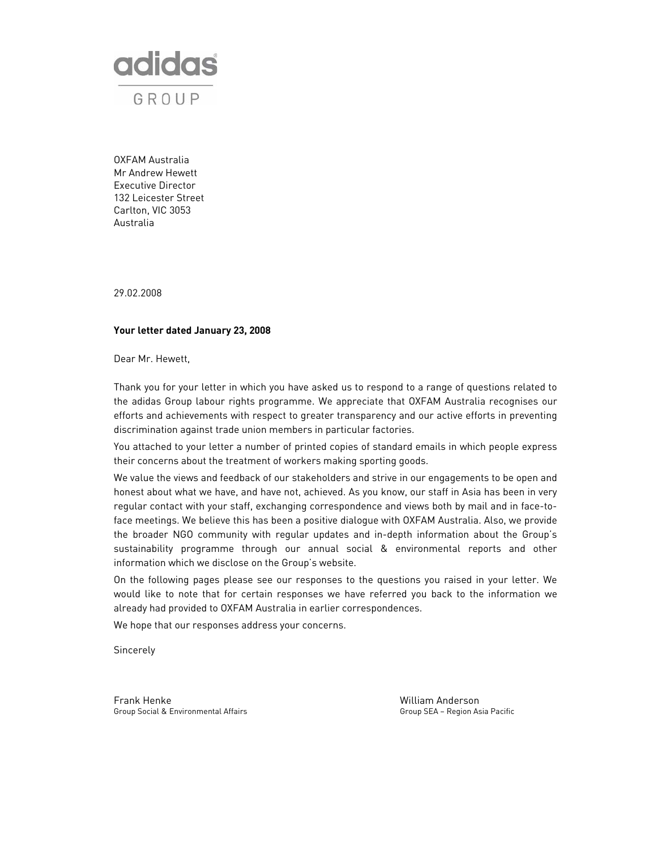

OXFAM Australia Mr Andrew Hewett Executive Director 132 Leicester Street Carlton, VIC 3053 Australia

29.02.2008

# **Your letter dated January 23, 2008**

Dear Mr. Hewett,

Thank you for your letter in which you have asked us to respond to a range of questions related to the adidas Group labour rights programme. We appreciate that OXFAM Australia recognises our efforts and achievements with respect to greater transparency and our active efforts in preventing discrimination against trade union members in particular factories.

You attached to your letter a number of printed copies of standard emails in which people express their concerns about the treatment of workers making sporting goods.

We value the views and feedback of our stakeholders and strive in our engagements to be open and honest about what we have, and have not, achieved. As you know, our staff in Asia has been in very regular contact with your staff, exchanging correspondence and views both by mail and in face-toface meetings. We believe this has been a positive dialogue with OXFAM Australia. Also, we provide the broader NGO community with regular updates and in-depth information about the Group's sustainability programme through our annual social & environmental reports and other information which we disclose on the Group's website.

On the following pages please see our responses to the questions you raised in your letter. We would like to note that for certain responses we have referred you back to the information we already had provided to OXFAM Australia in earlier correspondences.

We hope that our responses address your concerns.

Sincerely

Frank Henke William Anderson Group Social & Environmental Affairs Group SEA – Region Asia Pacific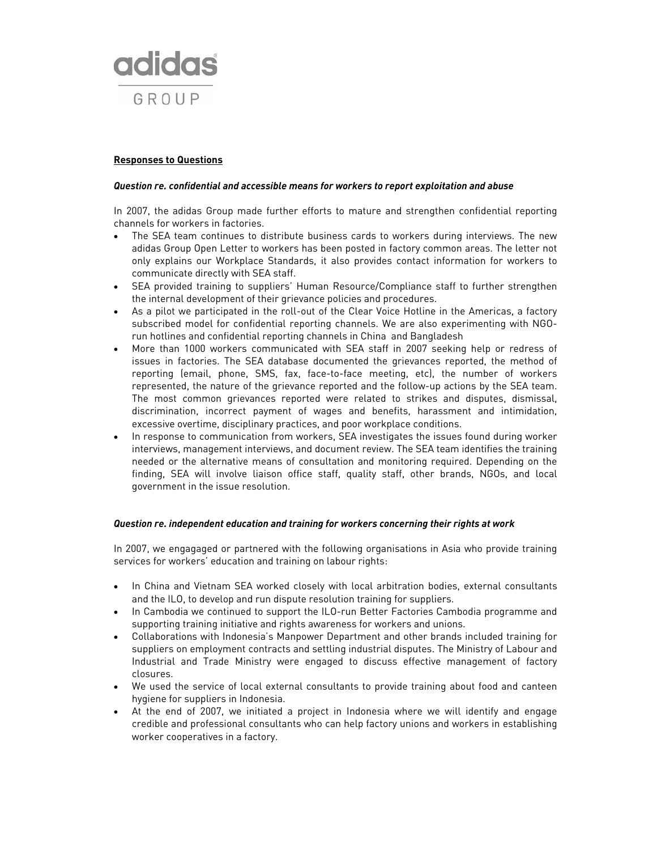

# **Responses to Questions**

#### *Question re. confidential and accessible means for workers to report exploitation and abuse*

In 2007, the adidas Group made further efforts to mature and strengthen confidential reporting channels for workers in factories.

- The SEA team continues to distribute business cards to workers during interviews. The new adidas Group Open Letter to workers has been posted in factory common areas. The letter not only explains our Workplace Standards, it also provides contact information for workers to communicate directly with SEA staff.
- SEA provided training to suppliers' Human Resource/Compliance staff to further strengthen the internal development of their grievance policies and procedures.
- As a pilot we participated in the roll-out of the Clear Voice Hotline in the Americas, a factory subscribed model for confidential reporting channels. We are also experimenting with NGOrun hotlines and confidential reporting channels in China and Bangladesh
- More than 1000 workers communicated with SEA staff in 2007 seeking help or redress of issues in factories. The SEA database documented the grievances reported, the method of reporting (email, phone, SMS, fax, face-to-face meeting, etc), the number of workers represented, the nature of the grievance reported and the follow-up actions by the SEA team. The most common grievances reported were related to strikes and disputes, dismissal, discrimination, incorrect payment of wages and benefits, harassment and intimidation, excessive overtime, disciplinary practices, and poor workplace conditions.
- In response to communication from workers, SEA investigates the issues found during worker interviews, management interviews, and document review. The SEA team identifies the training needed or the alternative means of consultation and monitoring required. Depending on the finding, SEA will involve liaison office staff, quality staff, other brands, NGOs, and local government in the issue resolution.

#### *Question re. independent education and training for workers concerning their rights at work*

In 2007, we engagaged or partnered with the following organisations in Asia who provide training services for workers' education and training on labour rights:

- In China and Vietnam SEA worked closely with local arbitration bodies, external consultants and the ILO, to develop and run dispute resolution training for suppliers.
- In Cambodia we continued to support the ILO-run Better Factories Cambodia programme and supporting training initiative and rights awareness for workers and unions.
- Collaborations with Indonesia's Manpower Department and other brands included training for suppliers on employment contracts and settling industrial disputes. The Ministry of Labour and Industrial and Trade Ministry were engaged to discuss effective management of factory closures.
- We used the service of local external consultants to provide training about food and canteen hygiene for suppliers in Indonesia.
- At the end of 2007, we initiated a project in Indonesia where we will identify and engage credible and professional consultants who can help factory unions and workers in establishing worker cooperatives in a factory.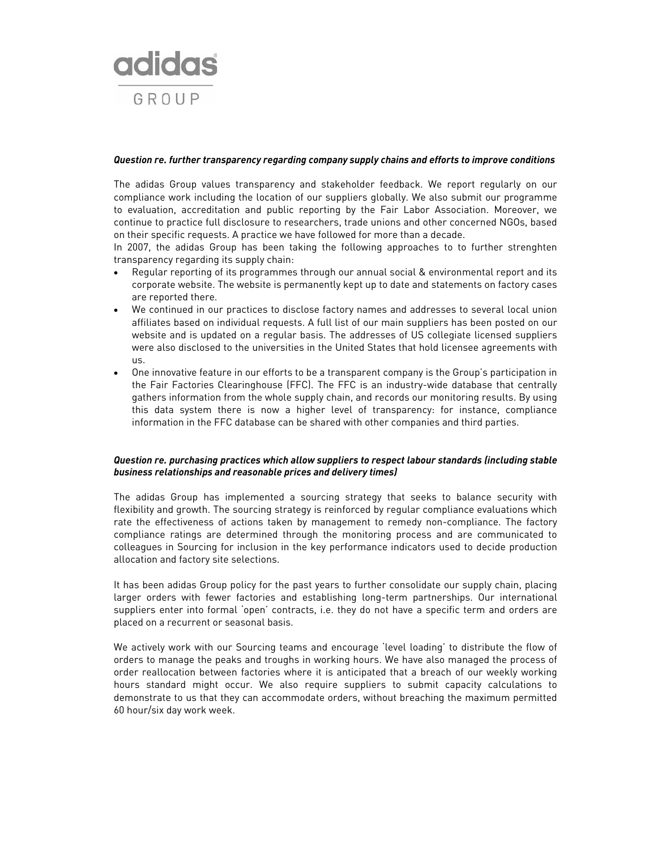

#### *Question re. further transparency regarding company supply chains and efforts to improve conditions*

The adidas Group values transparency and stakeholder feedback. We report regularly on our compliance work including the location of our suppliers globally. We also submit our programme to evaluation, accreditation and public reporting by the Fair Labor Association. Moreover, we continue to practice full disclosure to researchers, trade unions and other concerned NGOs, based on their specific requests. A practice we have followed for more than a decade.

In 2007, the adidas Group has been taking the following approaches to to further strenghten transparency regarding its supply chain:

- Regular reporting of its programmes through our annual social & environmental report and its corporate website. The website is permanently kept up to date and statements on factory cases are reported there.
- We continued in our practices to disclose factory names and addresses to several local union affiliates based on individual requests. A full list of our main suppliers has been posted on our website and is updated on a regular basis. The addresses of US collegiate licensed suppliers were also disclosed to the universities in the United States that hold licensee agreements with us.
- One innovative feature in our efforts to be a transparent company is the Group's participation in the Fair Factories Clearinghouse (FFC). The FFC is an industry-wide database that centrally gathers information from the whole supply chain, and records our monitoring results. By using this data system there is now a higher level of transparency: for instance, compliance information in the FFC database can be shared with other companies and third parties.

# *Question re. purchasing practices which allow suppliers to respect labour standards (including stable business relationships and reasonable prices and delivery times)*

The adidas Group has implemented a sourcing strategy that seeks to balance security with flexibility and growth. The sourcing strategy is reinforced by regular compliance evaluations which rate the effectiveness of actions taken by management to remedy non-compliance. The factory compliance ratings are determined through the monitoring process and are communicated to colleagues in Sourcing for inclusion in the key performance indicators used to decide production allocation and factory site selections.

It has been adidas Group policy for the past years to further consolidate our supply chain, placing larger orders with fewer factories and establishing long-term partnerships. Our international suppliers enter into formal 'open' contracts, i.e. they do not have a specific term and orders are placed on a recurrent or seasonal basis.

We actively work with our Sourcing teams and encourage 'level loading' to distribute the flow of orders to manage the peaks and troughs in working hours. We have also managed the process of order reallocation between factories where it is anticipated that a breach of our weekly working hours standard might occur. We also require suppliers to submit capacity calculations to demonstrate to us that they can accommodate orders, without breaching the maximum permitted 60 hour/six day work week.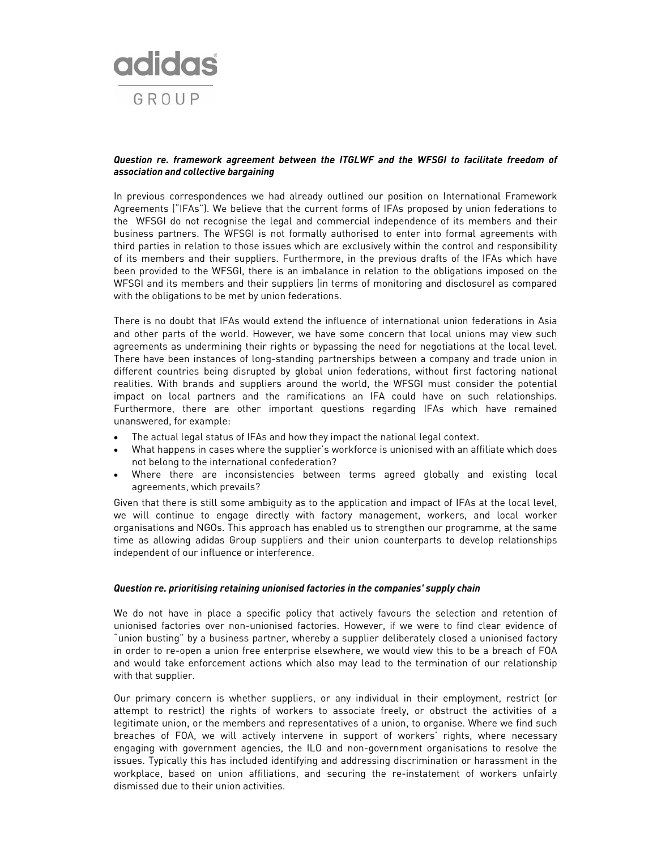

## *Question re. framework agreement between the ITGLWF and the WFSGI to facilitate freedom of association and collective bargaining*

In previous correspondences we had already outlined our position on International Framework Agreements ("IFAs"). We believe that the current forms of IFAs proposed by union federations to the WFSGI do not recognise the legal and commercial independence of its members and their business partners. The WFSGI is not formally authorised to enter into formal agreements with third parties in relation to those issues which are exclusively within the control and responsibility of its members and their suppliers. Furthermore, in the previous drafts of the IFAs which have been provided to the WFSGI, there is an imbalance in relation to the obligations imposed on the WFSGI and its members and their suppliers (in terms of monitoring and disclosure) as compared with the obligations to be met by union federations.

There is no doubt that IFAs would extend the influence of international union federations in Asia and other parts of the world. However, we have some concern that local unions may view such agreements as undermining their rights or bypassing the need for negotiations at the local level. There have been instances of long-standing partnerships between a company and trade union in different countries being disrupted by global union federations, without first factoring national realities. With brands and suppliers around the world, the WFSGI must consider the potential impact on local partners and the ramifications an IFA could have on such relationships. Furthermore, there are other important questions regarding IFAs which have remained unanswered, for example:

- The actual legal status of IFAs and how they impact the national legal context.
- What happens in cases where the supplier's workforce is unionised with an affiliate which does not belong to the international confederation?
- Where there are inconsistencies between terms agreed globally and existing local agreements, which prevails?

Given that there is still some ambiguity as to the application and impact of IFAs at the local level, we will continue to engage directly with factory management, workers, and local worker organisations and NGOs. This approach has enabled us to strengthen our programme, at the same time as allowing adidas Group suppliers and their union counterparts to develop relationships independent of our influence or interference.

### *Question re. prioritising retaining unionised factories in the companies' supply chain*

We do not have in place a specific policy that actively favours the selection and retention of unionised factories over non-unionised factories. However, if we were to find clear evidence of "union busting" by a business partner, whereby a supplier deliberately closed a unionised factory in order to re-open a union free enterprise elsewhere, we would view this to be a breach of FOA and would take enforcement actions which also may lead to the termination of our relationship with that supplier.

Our primary concern is whether suppliers, or any individual in their employment, restrict (or attempt to restrict) the rights of workers to associate freely, or obstruct the activities of a legitimate union, or the members and representatives of a union, to organise. Where we find such breaches of FOA, we will actively intervene in support of workers' rights, where necessary engaging with government agencies, the ILO and non-government organisations to resolve the issues. Typically this has included identifying and addressing discrimination or harassment in the workplace, based on union affiliations, and securing the re-instatement of workers unfairly dismissed due to their union activities.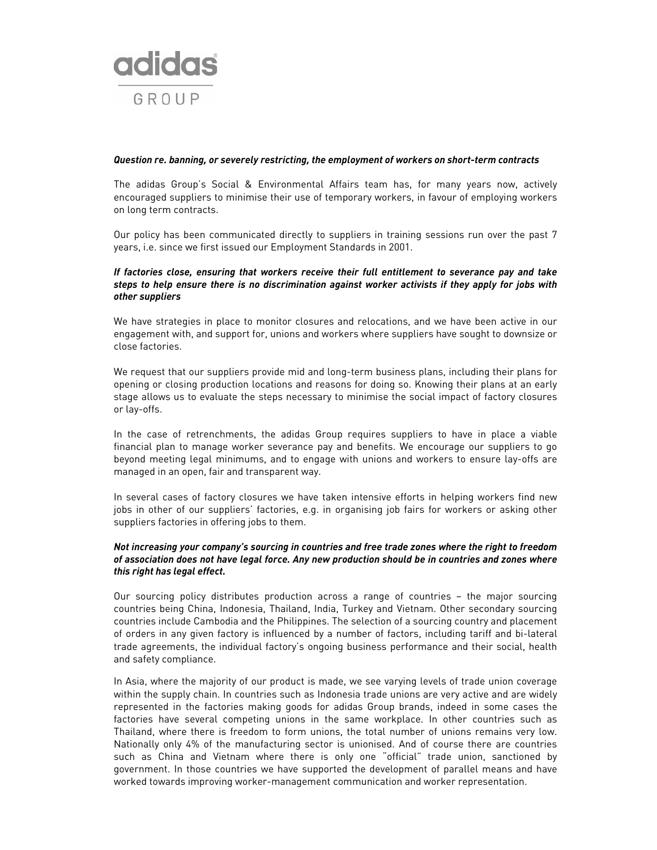

#### *Question re. banning, or severely restricting, the employment of workers on short-term contracts*

The adidas Group's Social & Environmental Affairs team has, for many years now, actively encouraged suppliers to minimise their use of temporary workers, in favour of employing workers on long term contracts.

Our policy has been communicated directly to suppliers in training sessions run over the past 7 years, i.e. since we first issued our Employment Standards in 2001.

# *If factories close, ensuring that workers receive their full entitlement to severance pay and take steps to help ensure there is no discrimination against worker activists if they apply for jobs with other suppliers*

We have strategies in place to monitor closures and relocations, and we have been active in our engagement with, and support for, unions and workers where suppliers have sought to downsize or close factories.

We request that our suppliers provide mid and long-term business plans, including their plans for opening or closing production locations and reasons for doing so. Knowing their plans at an early stage allows us to evaluate the steps necessary to minimise the social impact of factory closures or lay-offs.

In the case of retrenchments, the adidas Group requires suppliers to have in place a viable financial plan to manage worker severance pay and benefits. We encourage our suppliers to go beyond meeting legal minimums, and to engage with unions and workers to ensure lay-offs are managed in an open, fair and transparent way.

In several cases of factory closures we have taken intensive efforts in helping workers find new jobs in other of our suppliers' factories, e.g. in organising job fairs for workers or asking other suppliers factories in offering jobs to them.

### *Not increasing your company's sourcing in countries and free trade zones where the right to freedom of association does not have legal force. Any new production should be in countries and zones where this right has legal effect.*

Our sourcing policy distributes production across a range of countries – the major sourcing countries being China, Indonesia, Thailand, India, Turkey and Vietnam. Other secondary sourcing countries include Cambodia and the Philippines. The selection of a sourcing country and placement of orders in any given factory is influenced by a number of factors, including tariff and bi-lateral trade agreements, the individual factory's ongoing business performance and their social, health and safety compliance.

In Asia, where the majority of our product is made, we see varying levels of trade union coverage within the supply chain. In countries such as Indonesia trade unions are very active and are widely represented in the factories making goods for adidas Group brands, indeed in some cases the factories have several competing unions in the same workplace. In other countries such as Thailand, where there is freedom to form unions, the total number of unions remains very low. Nationally only 4% of the manufacturing sector is unionised. And of course there are countries such as China and Vietnam where there is only one "official" trade union, sanctioned by government. In those countries we have supported the development of parallel means and have worked towards improving worker-management communication and worker representation.